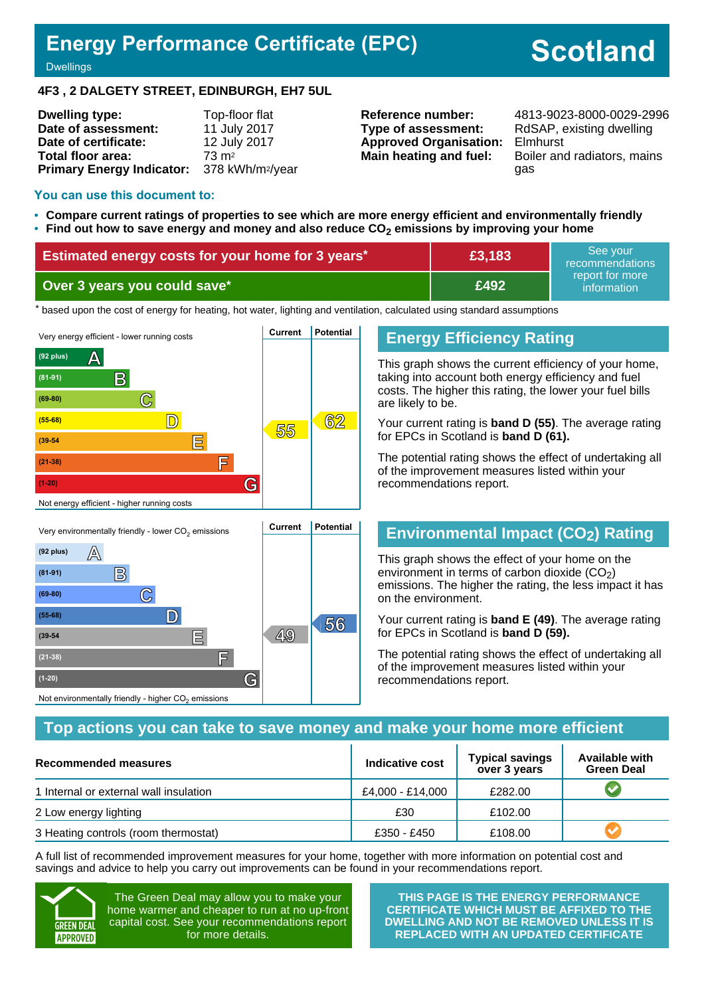## **Energy Performance Certificate (EPC)**

# **Scotland**

#### **Dwellings**

#### **4F3 , 2 DALGETY STREET, EDINBURGH, EH7 5UL**

| <b>Dwelling type:</b>                                  | Top-floor flat   |
|--------------------------------------------------------|------------------|
| Date of assessment:                                    | 11 July 2017     |
| Date of certificate:                                   | 12 July 2017     |
| Total floor area:                                      | $73 \text{ m}^2$ |
| Primary Energy Indicator: 378 kWh/m <sup>2</sup> /year |                  |

## **Type of assessment:** RdSAP, existing dwelling **Approved Organisation:** Elmhurst

**Reference number:** 4813-9023-8000-0029-2996 **Main heating and fuel:** Boiler and radiators, mains gas

#### **You can use this document to:**

- **Compare current ratings of properties to see which are more energy efficient and environmentally friendly**
- **Find out how to save energy and money and also reduce CO2 emissions by improving your home**

| <b>Estimated energy costs for your home for 3 years*</b> | £3,183 | See vour<br>recommendations    |
|----------------------------------------------------------|--------|--------------------------------|
| Over 3 years you could save*                             | £492   | report for more<br>information |

the based upon the cost of energy for heating, hot water, lighting and ventilation, calculated using standard assumptions



**(39-54 E 49**

**(21-38) F**

Not environmentally friendly - higher  $\mathrm{CO}_2$  emissions

**(1-20) G**

## **Energy Efficiency Rating**

This graph shows the current efficiency of your home, taking into account both energy efficiency and fuel costs. The higher this rating, the lower your fuel bills are likely to be.

Your current rating is **band D (55)**. The average rating for EPCs in Scotland is **band D (61).**

The potential rating shows the effect of undertaking all of the improvement measures listed within your recommendations report.

## **Environmental Impact (CO2) Rating**

This graph shows the effect of your home on the environment in terms of carbon dioxide  $(CO<sub>2</sub>)$ emissions. The higher the rating, the less impact it has on the environment.

Your current rating is **band E (49)**. The average rating for EPCs in Scotland is **band D (59).**

The potential rating shows the effect of undertaking all of the improvement measures listed within your recommendations report.

#### **Top actions you can take to save money and make your home more efficient**

| Recommended measures                   | Indicative cost  | <b>Typical savings</b><br>over 3 years | <b>Available with</b><br><b>Green Deal</b> |
|----------------------------------------|------------------|----------------------------------------|--------------------------------------------|
| 1 Internal or external wall insulation | £4.000 - £14.000 | £282.00                                |                                            |
| 2 Low energy lighting                  | £30              | £102.00                                |                                            |
| 3 Heating controls (room thermostat)   | £350 - £450      | £108.00                                |                                            |

A full list of recommended improvement measures for your home, together with more information on potential cost and savings and advice to help you carry out improvements can be found in your recommendations report.



The Green Deal may allow you to make your home warmer and cheaper to run at no up-front capital cost. See your recommendations report for more details.

**THIS PAGE IS THE ENERGY PERFORMANCE CERTIFICATE WHICH MUST BE AFFIXED TO THE DWELLING AND NOT BE REMOVED UNLESS IT IS REPLACED WITH AN UPDATED CERTIFICATE**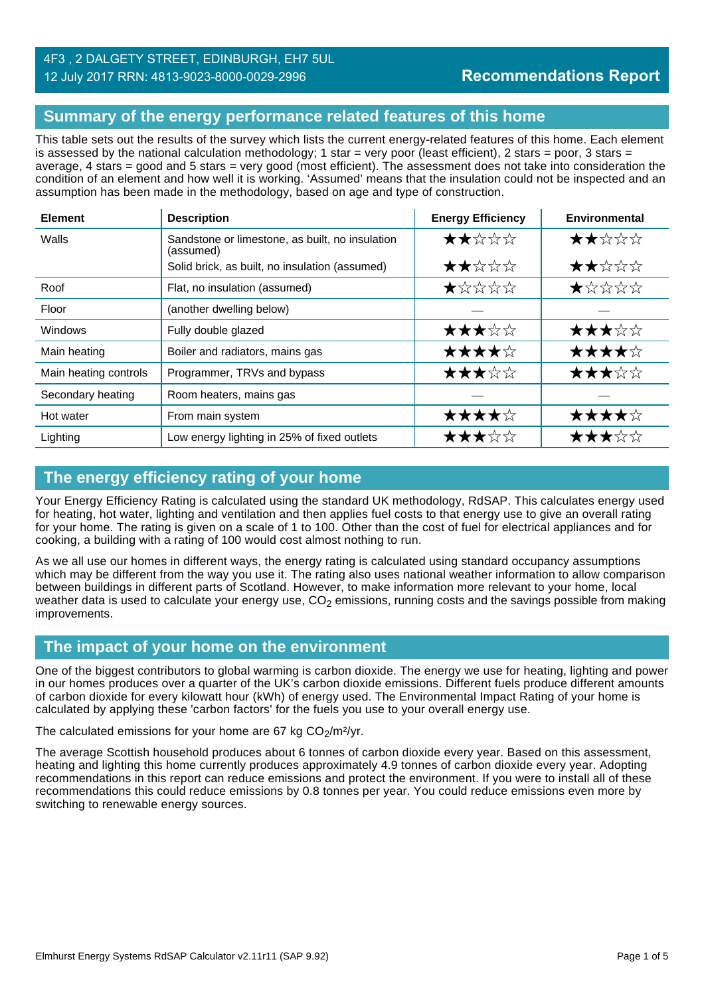## **Summary of the energy performance related features of this home**

This table sets out the results of the survey which lists the current energy-related features of this home. Each element is assessed by the national calculation methodology; 1 star = very poor (least efficient), 2 stars = poor, 3 stars = average, 4 stars = good and 5 stars = very good (most efficient). The assessment does not take into consideration the condition of an element and how well it is working. 'Assumed' means that the insulation could not be inspected and an assumption has been made in the methodology, based on age and type of construction.

| <b>Element</b>        | <b>Description</b>                                           | <b>Energy Efficiency</b> | <b>Environmental</b> |
|-----------------------|--------------------------------------------------------------|--------------------------|----------------------|
| Walls                 | Sandstone or limestone, as built, no insulation<br>(assumed) | ★★☆☆☆                    | ★★☆☆☆                |
|                       | Solid brick, as built, no insulation (assumed)               | ★★☆☆☆                    | ★★☆☆☆                |
| Roof                  | Flat, no insulation (assumed)                                | ★☆☆☆☆                    | ★☆☆☆☆                |
| Floor                 | (another dwelling below)                                     |                          |                      |
| Windows               | Fully double glazed                                          | ★★★☆☆                    | ★★★☆☆                |
| Main heating          | Boiler and radiators, mains gas                              | ★★★★☆                    | ★★★★☆                |
| Main heating controls | Programmer, TRVs and bypass                                  | ★★★☆☆                    | ★★★☆☆                |
| Secondary heating     | Room heaters, mains gas                                      |                          |                      |
| Hot water             | From main system                                             | ★★★★☆                    | ★★★★☆                |
| Lighting              | Low energy lighting in 25% of fixed outlets                  | ★★★☆☆                    | ★★★☆☆                |

## **The energy efficiency rating of your home**

Your Energy Efficiency Rating is calculated using the standard UK methodology, RdSAP. This calculates energy used for heating, hot water, lighting and ventilation and then applies fuel costs to that energy use to give an overall rating for your home. The rating is given on a scale of 1 to 100. Other than the cost of fuel for electrical appliances and for cooking, a building with a rating of 100 would cost almost nothing to run.

As we all use our homes in different ways, the energy rating is calculated using standard occupancy assumptions which may be different from the way you use it. The rating also uses national weather information to allow comparison between buildings in different parts of Scotland. However, to make information more relevant to your home, local weather data is used to calculate your energy use,  $CO<sub>2</sub>$  emissions, running costs and the savings possible from making improvements.

## **The impact of your home on the environment**

One of the biggest contributors to global warming is carbon dioxide. The energy we use for heating, lighting and power in our homes produces over a quarter of the UK's carbon dioxide emissions. Different fuels produce different amounts of carbon dioxide for every kilowatt hour (kWh) of energy used. The Environmental Impact Rating of your home is calculated by applying these 'carbon factors' for the fuels you use to your overall energy use.

The calculated emissions for your home are 67 kg  $CO<sub>2</sub>/m<sup>2</sup>/yr$ .

The average Scottish household produces about 6 tonnes of carbon dioxide every year. Based on this assessment, heating and lighting this home currently produces approximately 4.9 tonnes of carbon dioxide every year. Adopting recommendations in this report can reduce emissions and protect the environment. If you were to install all of these recommendations this could reduce emissions by 0.8 tonnes per year. You could reduce emissions even more by switching to renewable energy sources.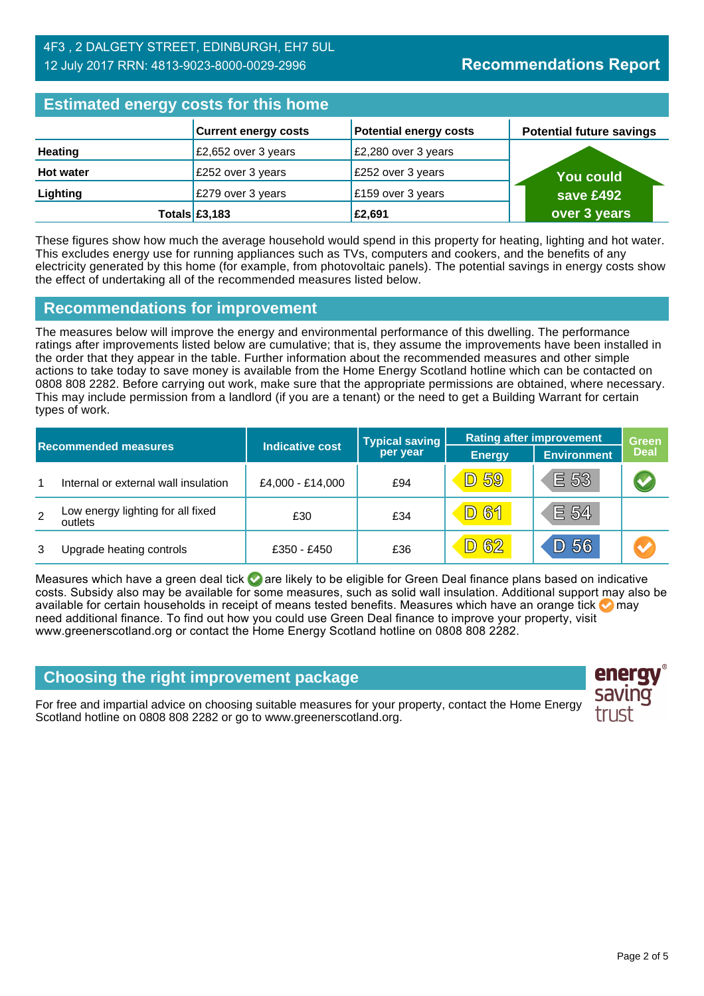#### 4F3 , 2 DALGETY STREET, EDINBURGH, EH7 5UL 12 July 2017 RRN: 4813-9023-8000-0029-2996

## **Estimated energy costs for this home**

| Editional and all and the contract of the second second the second second the second second second second second second second second second second second second second second second second second second second second seco |                             |                               |                                 |  |
|--------------------------------------------------------------------------------------------------------------------------------------------------------------------------------------------------------------------------------|-----------------------------|-------------------------------|---------------------------------|--|
|                                                                                                                                                                                                                                | <b>Current energy costs</b> | <b>Potential energy costs</b> | <b>Potential future savings</b> |  |
| <b>Heating</b>                                                                                                                                                                                                                 | £2,652 over 3 years         | £2,280 over 3 years           |                                 |  |
| <b>Hot water</b>                                                                                                                                                                                                               | £252 over 3 years           | £252 over 3 years             | <b>You could</b>                |  |
| Lighting                                                                                                                                                                                                                       | £279 over 3 years           | £159 over 3 years             | save £492                       |  |
|                                                                                                                                                                                                                                | Totals $£3,183$             | £2,691                        | over 3 years                    |  |

These figures show how much the average household would spend in this property for heating, lighting and hot water. This excludes energy use for running appliances such as TVs, computers and cookers, and the benefits of any electricity generated by this home (for example, from photovoltaic panels). The potential savings in energy costs show the effect of undertaking all of the recommended measures listed below.

#### **Recommendations for improvement**

The measures below will improve the energy and environmental performance of this dwelling. The performance ratings after improvements listed below are cumulative; that is, they assume the improvements have been installed in the order that they appear in the table. Further information about the recommended measures and other simple actions to take today to save money is available from the Home Energy Scotland hotline which can be contacted on 0808 808 2282. Before carrying out work, make sure that the appropriate permissions are obtained, where necessary. This may include permission from a landlord (if you are a tenant) or the need to get a Building Warrant for certain types of work.

|                |                                              | <b>Indicative cost</b> | <b>Typical saving</b> | <b>Rating after improvement</b> |                    | <b>Green</b> |
|----------------|----------------------------------------------|------------------------|-----------------------|---------------------------------|--------------------|--------------|
|                | <b>Recommended measures</b>                  |                        | per year              | <b>Energy</b>                   | <b>Environment</b> | <b>Deal</b>  |
| 1              | Internal or external wall insulation         | £4,000 - £14,000       | £94                   | <b>D 59</b>                     | E 53               |              |
| $\overline{2}$ | Low energy lighting for all fixed<br>outlets | £30                    | £34                   | <b>D61</b>                      | E 54               |              |
| 3              | Upgrade heating controls                     | £350 - £450            | £36                   | D 62                            | D 56               | M            |

Measures which have a green deal tick  $\bullet$  are likely to be eligible for Green Deal finance plans based on indicative costs. Subsidy also may be available for some measures, such as solid wall insulation. Additional support may also be available for certain households in receipt of means tested benefits. Measures which have an orange tick **on** may need additional finance. To find out how you could use Green Deal finance to improve your property, visit www.greenerscotland.org or contact the Home Energy Scotland hotline on 0808 808 2282.

## **Choosing the right improvement package**

For free and impartial advice on choosing suitable measures for your property, contact the Home Energy Scotland hotline on 0808 808 2282 or go to www.greenerscotland.org.

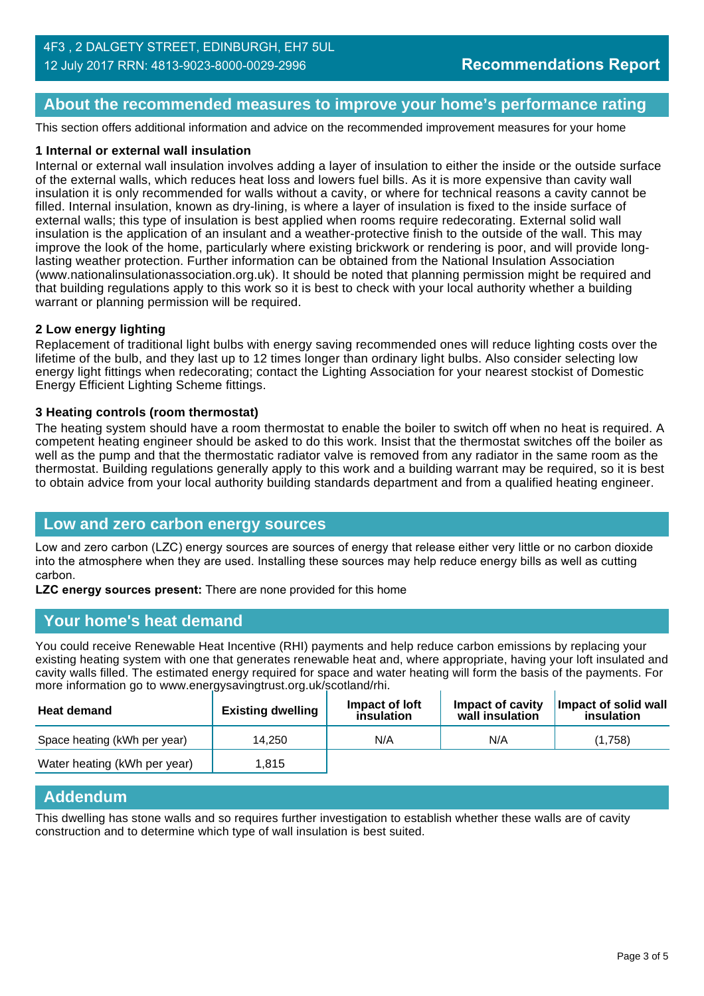#### **About the recommended measures to improve your home's performance rating**

This section offers additional information and advice on the recommended improvement measures for your home

#### **1 Internal or external wall insulation**

Internal or external wall insulation involves adding a layer of insulation to either the inside or the outside surface of the external walls, which reduces heat loss and lowers fuel bills. As it is more expensive than cavity wall insulation it is only recommended for walls without a cavity, or where for technical reasons a cavity cannot be filled. Internal insulation, known as dry-lining, is where a layer of insulation is fixed to the inside surface of external walls; this type of insulation is best applied when rooms require redecorating. External solid wall insulation is the application of an insulant and a weather-protective finish to the outside of the wall. This may improve the look of the home, particularly where existing brickwork or rendering is poor, and will provide longlasting weather protection. Further information can be obtained from the National Insulation Association (www.nationalinsulationassociation.org.uk). It should be noted that planning permission might be required and that building regulations apply to this work so it is best to check with your local authority whether a building warrant or planning permission will be required.

#### **2 Low energy lighting**

Replacement of traditional light bulbs with energy saving recommended ones will reduce lighting costs over the lifetime of the bulb, and they last up to 12 times longer than ordinary light bulbs. Also consider selecting low energy light fittings when redecorating; contact the Lighting Association for your nearest stockist of Domestic Energy Efficient Lighting Scheme fittings.

#### **3 Heating controls (room thermostat)**

The heating system should have a room thermostat to enable the boiler to switch off when no heat is required. A competent heating engineer should be asked to do this work. Insist that the thermostat switches off the boiler as well as the pump and that the thermostatic radiator valve is removed from any radiator in the same room as the thermostat. Building regulations generally apply to this work and a building warrant may be required, so it is best to obtain advice from your local authority building standards department and from a qualified heating engineer.

#### **Low and zero carbon energy sources**

Low and zero carbon (LZC) energy sources are sources of energy that release either very little or no carbon dioxide into the atmosphere when they are used. Installing these sources may help reduce energy bills as well as cutting carbon.

**LZC energy sources present:** There are none provided for this home

#### **Your home's heat demand**

You could receive Renewable Heat Incentive (RHI) payments and help reduce carbon emissions by replacing your existing heating system with one that generates renewable heat and, where appropriate, having your loft insulated and cavity walls filled. The estimated energy required for space and water heating will form the basis of the payments. For more information go to www.energysavingtrust.org.uk/scotland/rhi.

| <b>Heat demand</b>           | <b>Existing dwelling</b> | Impact of loft<br>insulation | Impact of cavity<br>wall insulation | Impact of solid wall<br>insulation |
|------------------------------|--------------------------|------------------------------|-------------------------------------|------------------------------------|
| Space heating (kWh per year) | 14.250                   | N/A                          | N/A                                 | (1.758)                            |
| Water heating (kWh per year) | 1.815                    |                              |                                     |                                    |

#### **Addendum**

This dwelling has stone walls and so requires further investigation to establish whether these walls are of cavity construction and to determine which type of wall insulation is best suited.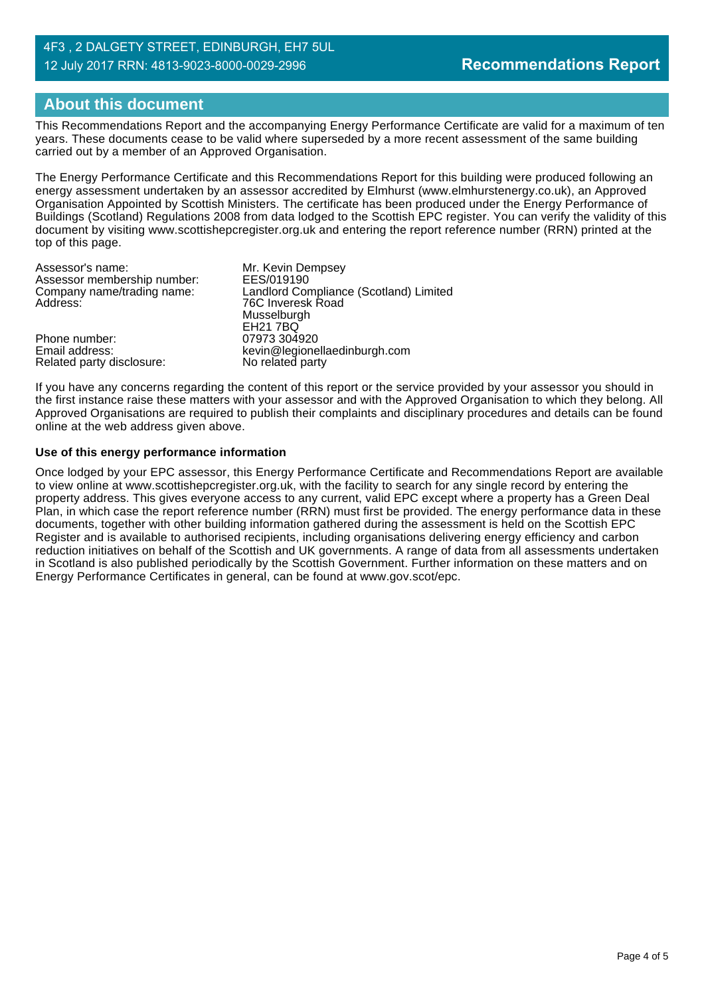#### 4F3 , 2 DALGETY STREET, EDINBURGH, EH7 5UL 12 July 2017 RRN: 4813-9023-8000-0029-2996

## **About this document**

This Recommendations Report and the accompanying Energy Performance Certificate are valid for a maximum of ten years. These documents cease to be valid where superseded by a more recent assessment of the same building carried out by a member of an Approved Organisation.

The Energy Performance Certificate and this Recommendations Report for this building were produced following an energy assessment undertaken by an assessor accredited by Elmhurst (www.elmhurstenergy.co.uk), an Approved Organisation Appointed by Scottish Ministers. The certificate has been produced under the Energy Performance of Buildings (Scotland) Regulations 2008 from data lodged to the Scottish EPC register. You can verify the validity of this document by visiting www.scottishepcregister.org.uk and entering the report reference number (RRN) printed at the top of this page.

| Assessor's name:            | Mr. Kevin Dempsey                      |
|-----------------------------|----------------------------------------|
| Assessor membership number: | EES/019190                             |
| Company name/trading name:  | Landlord Compliance (Scotland) Limited |
| Address:                    | 76C Inveresk Road                      |
|                             | Musselburgh                            |
|                             | <b>EH21 7BQ</b>                        |
| Phone number:               | 07973 304920                           |
| Email address:              | kevin@legionellaedinburgh.com          |
| Related party disclosure:   | No related party                       |

If you have any concerns regarding the content of this report or the service provided by your assessor you should in the first instance raise these matters with your assessor and with the Approved Organisation to which they belong. All Approved Organisations are required to publish their complaints and disciplinary procedures and details can be found online at the web address given above.

#### **Use of this energy performance information**

Once lodged by your EPC assessor, this Energy Performance Certificate and Recommendations Report are available to view online at www.scottishepcregister.org.uk, with the facility to search for any single record by entering the property address. This gives everyone access to any current, valid EPC except where a property has a Green Deal Plan, in which case the report reference number (RRN) must first be provided. The energy performance data in these documents, together with other building information gathered during the assessment is held on the Scottish EPC Register and is available to authorised recipients, including organisations delivering energy efficiency and carbon reduction initiatives on behalf of the Scottish and UK governments. A range of data from all assessments undertaken in Scotland is also published periodically by the Scottish Government. Further information on these matters and on Energy Performance Certificates in general, can be found at www.gov.scot/epc.